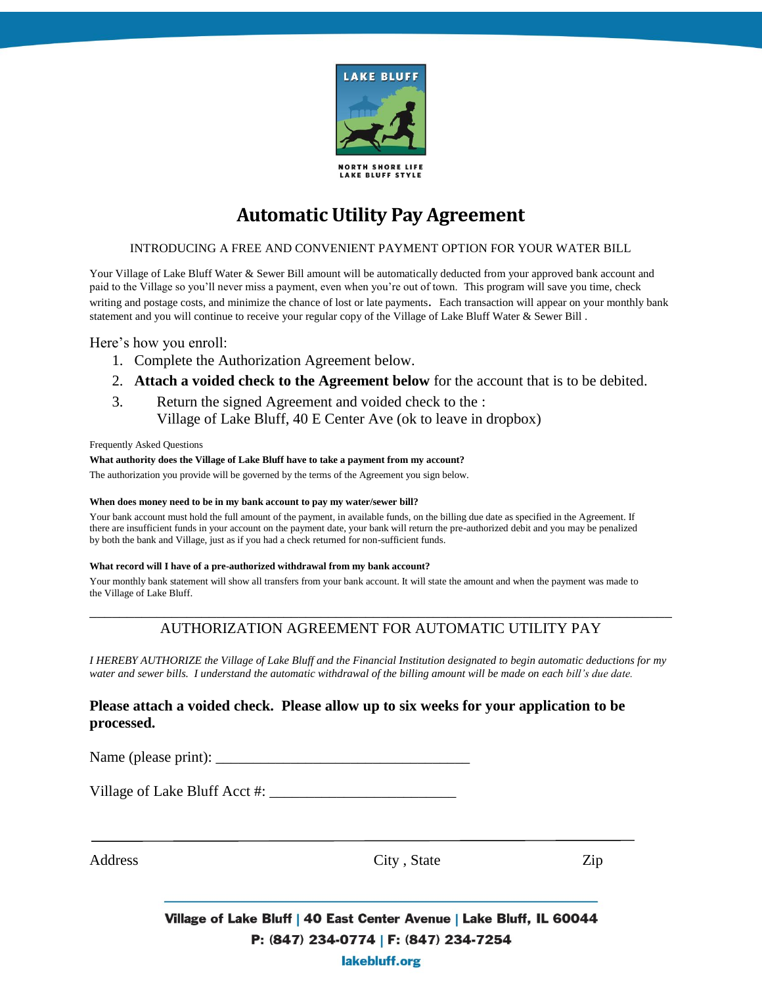

**LAKE BLUFF STYLE** 

# **Automatic Utility Pay Agreement**

### INTRODUCING A FREE AND CONVENIENT PAYMENT OPTION FOR YOUR WATER BILL

Your Village of Lake Bluff Water & Sewer Bill amount will be automatically deducted from your approved bank account and paid to the Village so you'll never miss a payment, even when you're out of town. This program will save you time, check writing and postage costs, and minimize the chance of lost or late payments. Each transaction will appear on your monthly bank statement and you will continue to receive your regular copy of the Village of Lake Bluff Water & Sewer Bill .

## Here's how you enroll:

- 1. Complete the Authorization Agreement below.
- 2. **Attach a voided check to the Agreement below** for the account that is to be debited.
- 3. Return the signed Agreement and voided check to the : Village of Lake Bluff, 40 E Center Ave (ok to leave in dropbox)

#### Frequently Asked Questions

#### **What authority does the Village of Lake Bluff have to take a payment from my account?**

The authorization you provide will be governed by the terms of the Agreement you sign below.

#### **When does money need to be in my bank account to pay my water/sewer bill?**

Your bank account must hold the full amount of the payment, in available funds, on the billing due date as specified in the Agreement. If there are insufficient funds in your account on the payment date, your bank will return the pre-authorized debit and you may be penalized by both the bank and Village, just as if you had a check returned for non-sufficient funds.

#### **What record will I have of a pre-authorized withdrawal from my bank account?**

Your monthly bank statement will show all transfers from your bank account. It will state the amount and when the payment was made to the Village of Lake Bluff.

# \_\_\_\_\_\_\_\_\_\_\_\_\_\_\_\_\_\_\_\_\_\_\_\_\_\_\_\_\_\_\_\_\_\_\_\_\_\_\_\_\_\_\_\_\_\_\_\_\_\_\_\_\_\_\_\_\_\_\_\_\_\_\_\_\_\_\_\_\_\_\_\_\_\_\_\_\_\_ AUTHORIZATION AGREEMENT FOR AUTOMATIC UTILITY PAY

*I HEREBY AUTHORIZE the Village of Lake Bluff and the Financial Institution designated to begin automatic deductions for my water and sewer bills. I understand the automatic withdrawal of the billing amount will be made on each bill's due date.*

## **Please attach a voided check. Please allow up to six weeks for your application to be processed.**

Name (please print): \_\_\_\_\_\_\_\_\_\_\_\_\_\_\_\_\_\_\_\_\_\_\_\_\_\_\_\_\_\_\_\_\_\_

Village of Lake Bluff Acct #: \_\_\_\_\_\_\_\_\_\_\_\_\_\_\_\_\_\_\_\_\_\_\_\_\_

Address City, State Zip

Village of Lake Bluff | 40 East Center Avenue | Lake Bluff, IL 60044 P: (847) 234-0774 | F: (847) 234-7254 lakebluff.org